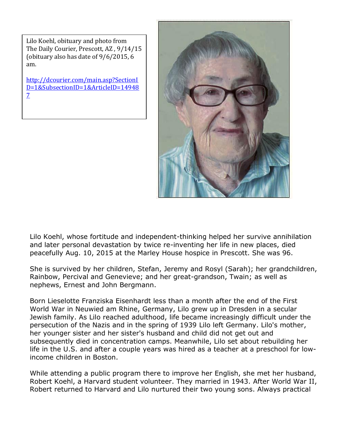Lilo Koehl, obituary and photo from The Daily Courier, Prescott, AZ , 9/14/15 (obituary also has date of 9/6/2015, 6 am.

[http://dcourier.com/main.asp?SectionI](http://dcourier.com/main.asp?SectionID=1&SubsectionID=1&ArticleID=149487) [D=1&SubsectionID=1&ArticleID=14948](http://dcourier.com/main.asp?SectionID=1&SubsectionID=1&ArticleID=149487) [7](http://dcourier.com/main.asp?SectionID=1&SubsectionID=1&ArticleID=149487)



Lilo Koehl, whose fortitude and independent-thinking helped her survive annihilation and later personal devastation by twice re-inventing her life in new places, died peacefully Aug. 10, 2015 at the Marley House hospice in Prescott. She was 96.

She is survived by her children, Stefan, Jeremy and Rosyl (Sarah); her grandchildren, Rainbow, Percival and Genevieve; and her great-grandson, Twain; as well as nephews, Ernest and John Bergmann.

Born Lieselotte Franziska Eisenhardt less than a month after the end of the First World War in Neuwied am Rhine, Germany, Lilo grew up in Dresden in a secular Jewish family. As Lilo reached adulthood, life became increasingly difficult under the persecution of the Nazis and in the spring of 1939 Lilo left Germany. Lilo's mother, her younger sister and her sister's husband and child did not get out and subsequently died in concentration camps. Meanwhile, Lilo set about rebuilding her life in the U.S. and after a couple years was hired as a teacher at a preschool for lowincome children in Boston.

While attending a public program there to improve her English, she met her husband, Robert Koehl, a Harvard student volunteer. They married in 1943. After World War II, Robert returned to Harvard and Lilo nurtured their two young sons. Always practical